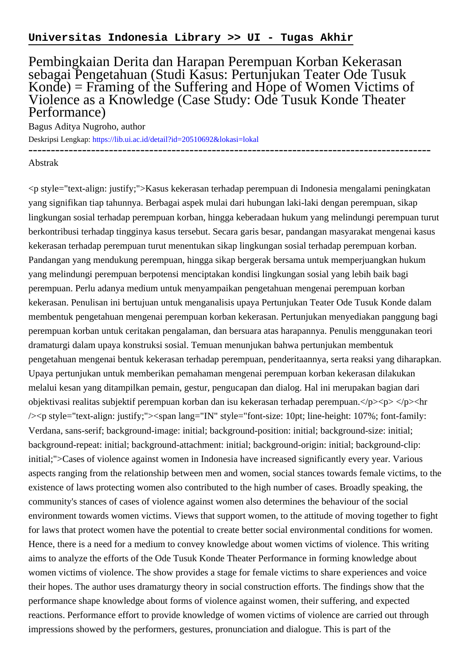## Pembingkaian Derita dan Harapan Perempuan Korban Kekerasan sebagai Pengetahuan (Studi Kasus: Pertunjukan Teater Ode Tusuk Konde) = Framing of the Suffering and Hope of Women Victims of Violence as a Knowledge (Case Study: Ode Tusuk Konde Theater Performance)

------------------------------------------------------------------------------------------

Bagus Aditya Nugroho, author

Deskripsi Lengkap:<https://lib.ui.ac.id/detail?id=20510692&lokasi=lokal>

## Abstrak

<p style="text-align: justify;">Kasus kekerasan terhadap perempuan di Indonesia mengalami peningkatan yang signifikan tiap tahunnya. Berbagai aspek mulai dari hubungan laki-laki dengan perempuan, sikap lingkungan sosial terhadap perempuan korban, hingga keberadaan hukum yang melindungi perempuan turut berkontribusi terhadap tingginya kasus tersebut. Secara garis besar, pandangan masyarakat mengenai kasus kekerasan terhadap perempuan turut menentukan sikap lingkungan sosial terhadap perempuan korban. Pandangan yang mendukung perempuan, hingga sikap bergerak bersama untuk memperjuangkan hukum yang melindungi perempuan berpotensi menciptakan kondisi lingkungan sosial yang lebih baik bagi perempuan. Perlu adanya medium untuk menyampaikan pengetahuan mengenai perempuan korban kekerasan. Penulisan ini bertujuan untuk menganalisis upaya Pertunjukan Teater Ode Tusuk Konde dalam membentuk pengetahuan mengenai perempuan korban kekerasan. Pertunjukan menyediakan panggung bagi perempuan korban untuk ceritakan pengalaman, dan bersuara atas harapannya. Penulis menggunakan teori dramaturgi dalam upaya konstruksi sosial. Temuan menunjukan bahwa pertunjukan membentuk pengetahuan mengenai bentuk kekerasan terhadap perempuan, penderitaannya, serta reaksi yang diharapkan. Upaya pertunjukan untuk memberikan pemahaman mengenai perempuan korban kekerasan dilakukan melalui kesan yang ditampilkan pemain, gestur, pengucapan dan dialog. Hal ini merupakan bagian dari objektivasi realitas subjektif perempuan korban dan isu kekerasan terhadap perempuan. $\langle p \rangle \langle p \rangle \langle p \rangle$ hr /><p style="text-align: justify;"><span lang="IN" style="font-size: 10pt; line-height: 107%; font-family: Verdana, sans-serif; background-image: initial; background-position: initial; background-size: initial; background-repeat: initial; background-attachment: initial; background-origin: initial; background-clip: initial;">Cases of violence against women in Indonesia have increased significantly every year. Various aspects ranging from the relationship between men and women, social stances towards female victims, to the existence of laws protecting women also contributed to the high number of cases. Broadly speaking, the community's stances of cases of violence against women also determines the behaviour of the social environment towards women victims. Views that support women, to the attitude of moving together to fight for laws that protect women have the potential to create better social environmental conditions for women. Hence, there is a need for a medium to convey knowledge about women victims of violence. This writing aims to analyze the efforts of the Ode Tusuk Konde Theater Performance in forming knowledge about women victims of violence. The show provides a stage for female victims to share experiences and voice their hopes. The author uses dramaturgy theory in social construction efforts. The findings show that the performance shape knowledge about forms of violence against women, their suffering, and expected reactions. Performance effort to provide knowledge of women victims of violence are carried out through impressions showed by the performers, gestures, pronunciation and dialogue. This is part of the